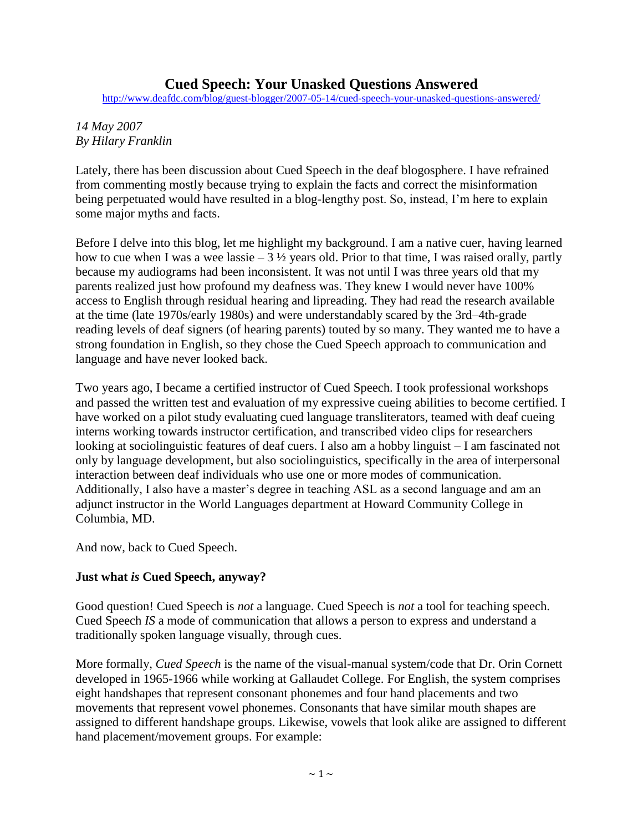# **Cued Speech: Your Unasked Questions Answered**

<http://www.deafdc.com/blog/guest-blogger/2007-05-14/cued-speech-your-unasked-questions-answered/>

#### *14 May 2007 By Hilary Franklin*

Lately, there has been discussion about Cued Speech in the deaf blogosphere. I have refrained from commenting mostly because trying to explain the facts and correct the misinformation being perpetuated would have resulted in a blog-lengthy post. So, instead, I'm here to explain some major myths and facts.

Before I delve into this blog, let me highlight my background. I am a native cuer, having learned how to cue when I was a wee lassie –  $3\frac{1}{2}$  years old. Prior to that time, I was raised orally, partly because my audiograms had been inconsistent. It was not until I was three years old that my parents realized just how profound my deafness was. They knew I would never have 100% access to English through residual hearing and lipreading. They had read the research available at the time (late 1970s/early 1980s) and were understandably scared by the 3rd–4th-grade reading levels of deaf signers (of hearing parents) touted by so many. They wanted me to have a strong foundation in English, so they chose the Cued Speech approach to communication and language and have never looked back.

Two years ago, I became a certified instructor of Cued Speech. I took professional workshops and passed the written test and evaluation of my expressive cueing abilities to become certified. I have worked on a pilot study evaluating cued language transliterators, teamed with deaf cueing interns working towards instructor certification, and transcribed video clips for researchers looking at sociolinguistic features of deaf cuers. I also am a hobby linguist – I am fascinated not only by language development, but also sociolinguistics, specifically in the area of interpersonal interaction between deaf individuals who use one or more modes of communication. Additionally, I also have a master's degree in teaching ASL as a second language and am an adjunct instructor in the World Languages department at Howard Community College in Columbia, MD.

And now, back to Cued Speech.

#### **Just what** *is* **Cued Speech, anyway?**

Good question! Cued Speech is *not* a language. Cued Speech is *not* a tool for teaching speech. Cued Speech *IS* a mode of communication that allows a person to express and understand a traditionally spoken language visually, through cues.

More formally, *Cued Speech* is the name of the visual-manual system/code that Dr. Orin Cornett developed in 1965-1966 while working at Gallaudet College. For English, the system comprises eight handshapes that represent consonant phonemes and four hand placements and two movements that represent vowel phonemes. Consonants that have similar mouth shapes are assigned to different handshape groups. Likewise, vowels that look alike are assigned to different hand placement/movement groups. For example: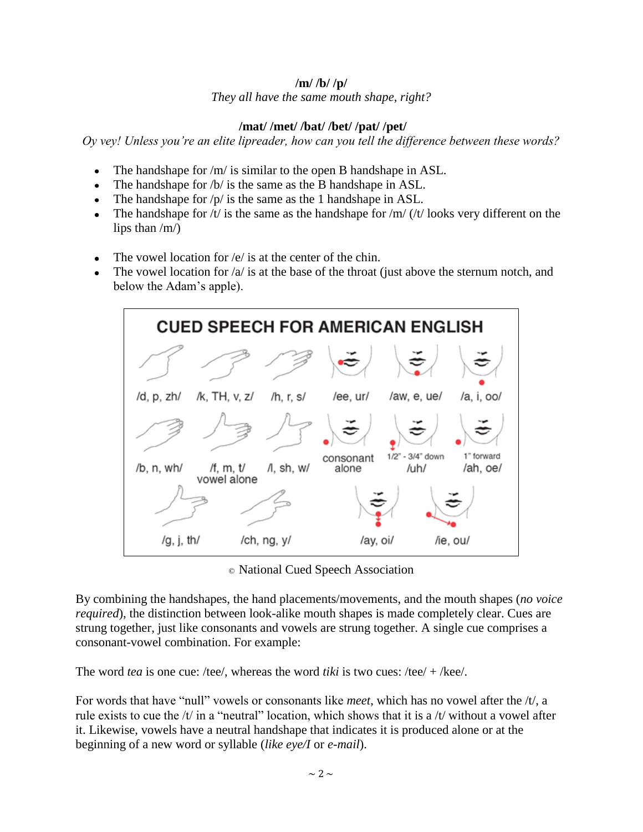#### **/m/ /b/ /p/**

*They all have the same mouth shape, right?*

## **/mat/ /met/ /bat/ /bet/ /pat/ /pet/**

*Oy vey! Unless you're an elite lipreader, how can you tell the difference between these words?*

- The handshape for /m/ is similar to the open B handshape in ASL.
- The handshape for /b/ is the same as the B handshape in ASL.  $\bullet$
- The handshape for /p/ is the same as the 1 handshape in ASL.
- The handshape for  $/t/$  is the same as the handshape for  $/m/$   $/t/$  looks very different on the  $\bullet$ lips than /m/)
- The vowel location for /e/ is at the center of the chin.  $\bullet$
- The vowel location for  $\alpha$  is at the base of the throat (just above the sternum notch, and below the Adam's apple).



© National Cued Speech Association

By combining the handshapes, the hand placements/movements, and the mouth shapes (*no voice required*), the distinction between look-alike mouth shapes is made completely clear. Cues are strung together, just like consonants and vowels are strung together. A single cue comprises a consonant-vowel combination. For example:

The word *tea* is one cue: /tee/, whereas the word *tiki* is two cues: /tee/ + /kee/.

For words that have "null" vowels or consonants like *meet*, which has no vowel after the /t/, a rule exists to cue the  $/t$  in a "neutral" location, which shows that it is a  $/t$  without a vowel after it. Likewise, vowels have a neutral handshape that indicates it is produced alone or at the beginning of a new word or syllable (*like eye/I* or *e-mail*).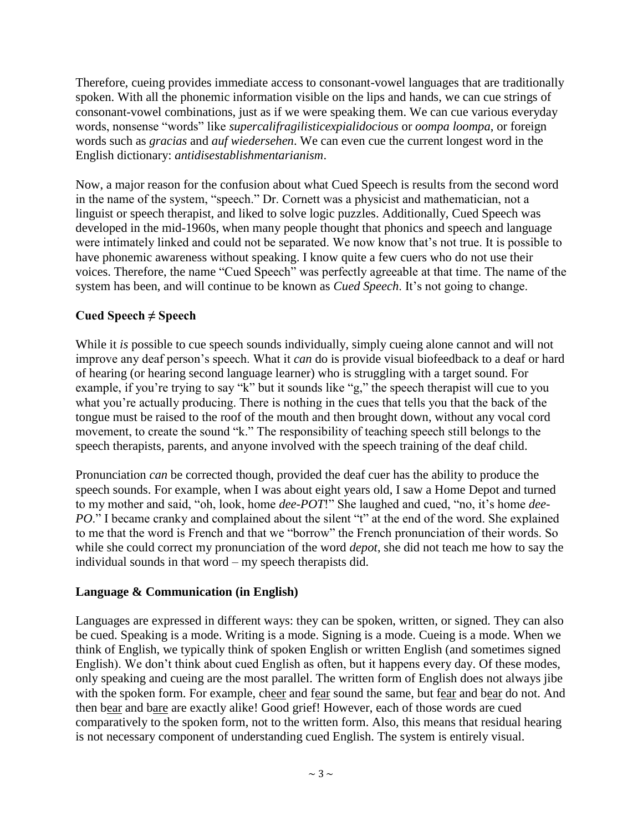Therefore, cueing provides immediate access to consonant-vowel languages that are traditionally spoken. With all the phonemic information visible on the lips and hands, we can cue strings of consonant-vowel combinations, just as if we were speaking them. We can cue various everyday words, nonsense "words" like *supercalifragilisticexpialidocious* or *oompa loompa*, or foreign words such as *gracias* and *auf wiedersehen*. We can even cue the current longest word in the English dictionary: *antidisestablishmentarianism*.

Now, a major reason for the confusion about what Cued Speech is results from the second word in the name of the system, "speech." Dr. Cornett was a physicist and mathematician, not a linguist or speech therapist, and liked to solve logic puzzles. Additionally, Cued Speech was developed in the mid-1960s, when many people thought that phonics and speech and language were intimately linked and could not be separated. We now know that's not true. It is possible to have phonemic awareness without speaking. I know quite a few cuers who do not use their voices. Therefore, the name "Cued Speech" was perfectly agreeable at that time. The name of the system has been, and will continue to be known as *Cued Speech*. It's not going to change.

# **Cued Speech ≠ Speech**

While it *is* possible to cue speech sounds individually, simply cueing alone cannot and will not improve any deaf person's speech. What it *can* do is provide visual biofeedback to a deaf or hard of hearing (or hearing second language learner) who is struggling with a target sound. For example, if you're trying to say "k" but it sounds like "g," the speech therapist will cue to you what you're actually producing. There is nothing in the cues that tells you that the back of the tongue must be raised to the roof of the mouth and then brought down, without any vocal cord movement, to create the sound "k." The responsibility of teaching speech still belongs to the speech therapists, parents, and anyone involved with the speech training of the deaf child.

Pronunciation *can* be corrected though, provided the deaf cuer has the ability to produce the speech sounds. For example, when I was about eight years old, I saw a Home Depot and turned to my mother and said, "oh, look, home *dee-POT*!" She laughed and cued, "no, it's home *dee-PO*." I became cranky and complained about the silent "t" at the end of the word. She explained to me that the word is French and that we "borrow" the French pronunciation of their words. So while she could correct my pronunciation of the word *depot*, she did not teach me how to say the individual sounds in that word – my speech therapists did.

#### **Language & Communication (in English)**

Languages are expressed in different ways: they can be spoken, written, or signed. They can also be cued. Speaking is a mode. Writing is a mode. Signing is a mode. Cueing is a mode. When we think of English, we typically think of spoken English or written English (and sometimes signed English). We don't think about cued English as often, but it happens every day. Of these modes, only speaking and cueing are the most parallel. The written form of English does not always jibe with the spoken form. For example, cheer and fear sound the same, but fear and bear do not. And then bear and bare are exactly alike! Good grief! However, each of those words are cued comparatively to the spoken form, not to the written form. Also, this means that residual hearing is not necessary component of understanding cued English. The system is entirely visual.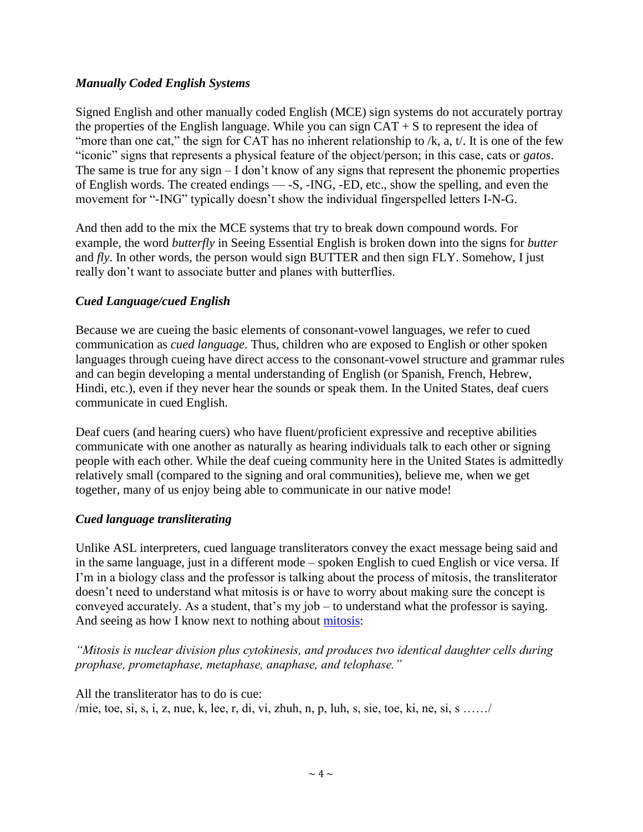## *Manually Coded English Systems*

Signed English and other manually coded English (MCE) sign systems do not accurately portray the properties of the English language. While you can sign  $CAT + S$  to represent the idea of "more than one cat," the sign for CAT has no inherent relationship to  $/k$ , a, t. It is one of the few ―iconic‖ signs that represents a physical feature of the object/person; in this case, cats or *gatos*. The same is true for any sign – I don't know of any signs that represent the phonemic properties of English words. The created endings — -S, -ING, -ED, etc., show the spelling, and even the movement for "-ING" typically doesn't show the individual fingerspelled letters I-N-G.

And then add to the mix the MCE systems that try to break down compound words. For example, the word *butterfly* in Seeing Essential English is broken down into the signs for *butter* and *fly*. In other words, the person would sign BUTTER and then sign FLY. Somehow, I just really don't want to associate butter and planes with butterflies.

## *Cued Language/cued English*

Because we are cueing the basic elements of consonant-vowel languages, we refer to cued communication as *cued language*. Thus, children who are exposed to English or other spoken languages through cueing have direct access to the consonant-vowel structure and grammar rules and can begin developing a mental understanding of English (or Spanish, French, Hebrew, Hindi, etc.), even if they never hear the sounds or speak them. In the United States, deaf cuers communicate in cued English.

Deaf cuers (and hearing cuers) who have fluent/proficient expressive and receptive abilities communicate with one another as naturally as hearing individuals talk to each other or signing people with each other. While the deaf cueing community here in the United States is admittedly relatively small (compared to the signing and oral communities), believe me, when we get together, many of us enjoy being able to communicate in our native mode!

#### *Cued language transliterating*

Unlike ASL interpreters, cued language transliterators convey the exact message being said and in the same language, just in a different mode – spoken English to cued English or vice versa. If I'm in a biology class and the professor is talking about the process of mitosis, the transliterator doesn't need to understand what mitosis is or have to worry about making sure the concept is conveyed accurately. As a student, that's my job – to understand what the professor is saying. And seeing as how I know next to nothing about [mitosis:](http://www.biology.arizona.edu/Cell_bio/tutorials/cell_cycle/cells3.html)

*"Mitosis is nuclear division plus cytokinesis, and produces two identical daughter cells during prophase, prometaphase, metaphase, anaphase, and telophase."*

All the transliterator has to do is cue: /mie, toe, si, s, i, z, nue, k, lee, r, di, vi, zhuh, n, p, luh, s, sie, toe, ki, ne, si, s ……/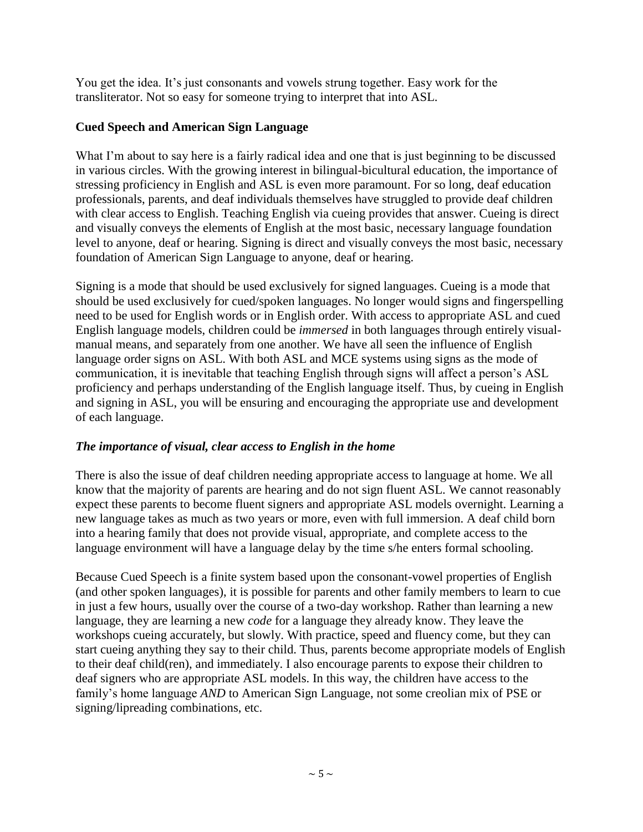You get the idea. It's just consonants and vowels strung together. Easy work for the transliterator. Not so easy for someone trying to interpret that into ASL.

# **Cued Speech and American Sign Language**

What I'm about to say here is a fairly radical idea and one that is just beginning to be discussed in various circles. With the growing interest in bilingual-bicultural education, the importance of stressing proficiency in English and ASL is even more paramount. For so long, deaf education professionals, parents, and deaf individuals themselves have struggled to provide deaf children with clear access to English. Teaching English via cueing provides that answer. Cueing is direct and visually conveys the elements of English at the most basic, necessary language foundation level to anyone, deaf or hearing. Signing is direct and visually conveys the most basic, necessary foundation of American Sign Language to anyone, deaf or hearing.

Signing is a mode that should be used exclusively for signed languages. Cueing is a mode that should be used exclusively for cued/spoken languages. No longer would signs and fingerspelling need to be used for English words or in English order. With access to appropriate ASL and cued English language models, children could be *immersed* in both languages through entirely visualmanual means, and separately from one another. We have all seen the influence of English language order signs on ASL. With both ASL and MCE systems using signs as the mode of communication, it is inevitable that teaching English through signs will affect a person's ASL proficiency and perhaps understanding of the English language itself. Thus, by cueing in English and signing in ASL, you will be ensuring and encouraging the appropriate use and development of each language.

# *The importance of visual, clear access to English in the home*

There is also the issue of deaf children needing appropriate access to language at home. We all know that the majority of parents are hearing and do not sign fluent ASL. We cannot reasonably expect these parents to become fluent signers and appropriate ASL models overnight. Learning a new language takes as much as two years or more, even with full immersion. A deaf child born into a hearing family that does not provide visual, appropriate, and complete access to the language environment will have a language delay by the time s/he enters formal schooling.

Because Cued Speech is a finite system based upon the consonant-vowel properties of English (and other spoken languages), it is possible for parents and other family members to learn to cue in just a few hours, usually over the course of a two-day workshop. Rather than learning a new language, they are learning a new *code* for a language they already know. They leave the workshops cueing accurately, but slowly. With practice, speed and fluency come, but they can start cueing anything they say to their child. Thus, parents become appropriate models of English to their deaf child(ren), and immediately. I also encourage parents to expose their children to deaf signers who are appropriate ASL models. In this way, the children have access to the family's home language *AND* to American Sign Language, not some creolian mix of PSE or signing/lipreading combinations, etc.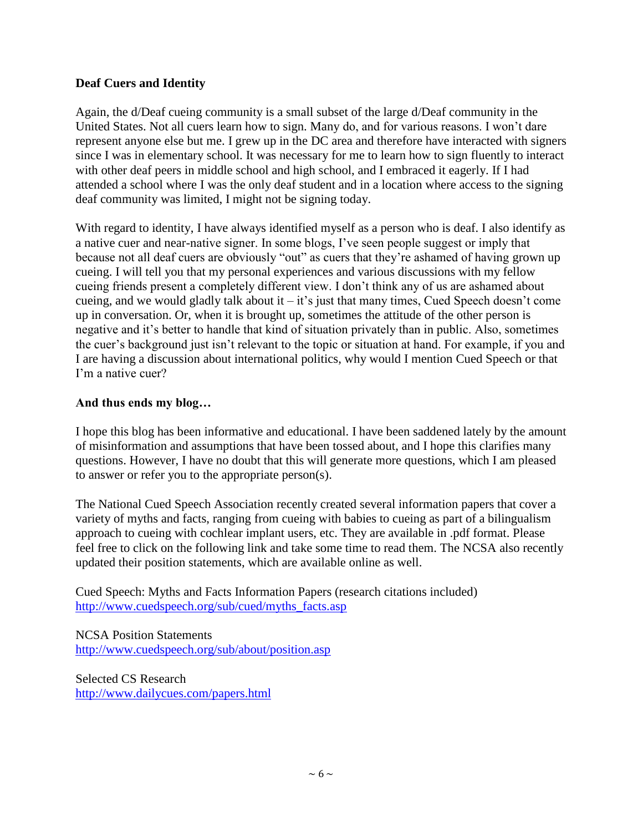## **Deaf Cuers and Identity**

Again, the d/Deaf cueing community is a small subset of the large d/Deaf community in the United States. Not all cuers learn how to sign. Many do, and for various reasons. I won't dare represent anyone else but me. I grew up in the DC area and therefore have interacted with signers since I was in elementary school. It was necessary for me to learn how to sign fluently to interact with other deaf peers in middle school and high school, and I embraced it eagerly. If I had attended a school where I was the only deaf student and in a location where access to the signing deaf community was limited, I might not be signing today.

With regard to identity, I have always identified myself as a person who is deaf. I also identify as a native cuer and near-native signer. In some blogs, I've seen people suggest or imply that because not all deaf cuers are obviously "out" as cuers that they're ashamed of having grown up cueing. I will tell you that my personal experiences and various discussions with my fellow cueing friends present a completely different view. I don't think any of us are ashamed about cueing, and we would gladly talk about it – it's just that many times, Cued Speech doesn't come up in conversation. Or, when it is brought up, sometimes the attitude of the other person is negative and it's better to handle that kind of situation privately than in public. Also, sometimes the cuer's background just isn't relevant to the topic or situation at hand. For example, if you and I are having a discussion about international politics, why would I mention Cued Speech or that I'm a native cuer?

## **And thus ends my blog…**

I hope this blog has been informative and educational. I have been saddened lately by the amount of misinformation and assumptions that have been tossed about, and I hope this clarifies many questions. However, I have no doubt that this will generate more questions, which I am pleased to answer or refer you to the appropriate person(s).

The National Cued Speech Association recently created several information papers that cover a variety of myths and facts, ranging from cueing with babies to cueing as part of a bilingualism approach to cueing with cochlear implant users, etc. They are available in .pdf format. Please feel free to click on the following link and take some time to read them. The NCSA also recently updated their position statements, which are available online as well.

Cued Speech: Myths and Facts Information Papers (research citations included) [http://www.cuedspeech.org/sub/cued/myths\\_facts.asp](http://www.cuedspeech.org/sub/cued/myths_facts.asp)

NCSA Position Statements <http://www.cuedspeech.org/sub/about/position.asp>

Selected CS Research <http://www.dailycues.com/papers.html>